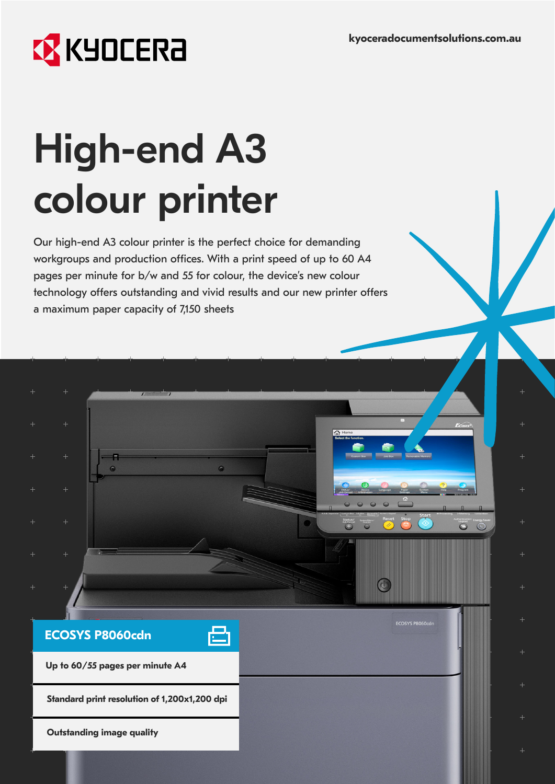$\overset{\circ}{\mathbb{O}}$ 

 $\bigcirc$ 

# **EX** KYOCERA

**ECOSYS P8060cdn**

**Outstanding image quality**

**Up to 60/55 pages per minute A4**

**Standard print resolution of 1,200x1,200 dpi**

# High-end A3 colour printer

Our high-end A3 colour printer is the perfect choice for demanding workgroups and production offices. With a print speed of up to 60 A4 pages per minute for b/w and 55 for colour, the device's new colour technology offers outstanding and vivid results and our new printer offers a maximum paper capacity of 7,150 sheets

 $\bullet$ 

凸